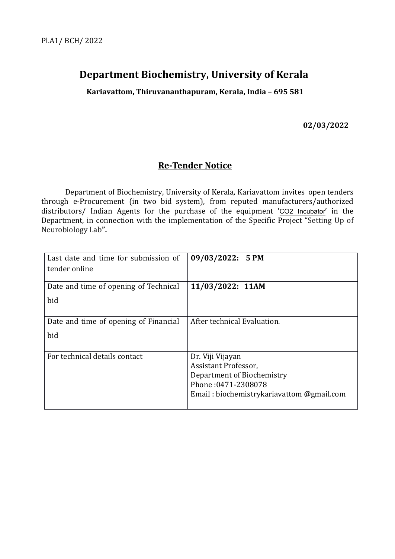# **Department Biochemistry, University of Kerala**

**Kariavattom, Thiruvananthapuram, Kerala, India – 695 581**

**02/03/2022**

## **Re-Tender Notice**

Department of Biochemistry, University of Kerala, Kariavattom invites open tenders through e-Procurement (in two bid system), from reputed manufacturers/authorized distributors/ Indian Agents for the purchase of the equipment 'CO2 Incubator' in the Department, in connection with the implementation of the Specific Project "Setting Up of Neurobiology Lab**".**

| Last date and time for submission of<br>tender online | 09/03/2022: 5 PM                                                                                                                           |
|-------------------------------------------------------|--------------------------------------------------------------------------------------------------------------------------------------------|
| Date and time of opening of Technical<br>bid          | 11/03/2022: 11AM                                                                                                                           |
| Date and time of opening of Financial<br>bid          | After technical Evaluation.                                                                                                                |
| For technical details contact                         | Dr. Viji Vijayan<br>Assistant Professor,<br>Department of Biochemistry<br>Phone: 0471-2308078<br>Email: biochemistrykariavattom @gmail.com |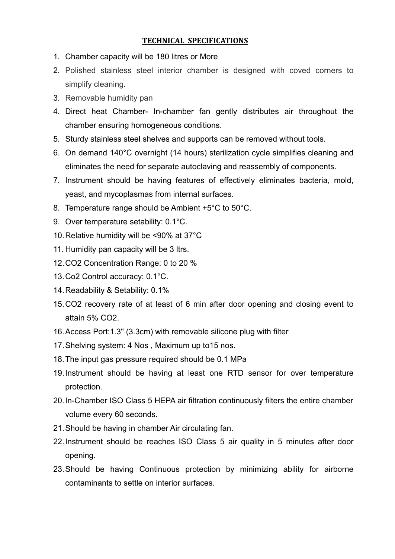## **TECHNICAL SPECIFICATIONS**

- 1. Chamber capacity will be 180 litres or More
- 2. Polished stainless steel interior chamber is designed with coved corners to simplify cleaning.
- 3. Removable humidity pan
- 4. Direct heat Chamber- In-chamber fan gently distributes air throughout the chamber ensuring homogeneous conditions.
- 5. Sturdy stainless steel shelves and supports can be removed without tools.
- 6. On demand 140°C overnight (14 hours) sterilization cycle simplifies cleaning and eliminates the need for separate autoclaving and reassembly of components.
- 7. Instrument should be having features of effectively eliminates bacteria, mold, yeast, and mycoplasmas from internal surfaces.
- 8. Temperature range should be Ambient +5°C to 50°C.
- 9. Over temperature setability: 0.1°C.
- 10.Relative humidity will be <90% at 37°C
- 11. Humidity pan capacity will be 3 ltrs.
- 12.CO2 Concentration Range: 0 to 20 %
- 13.Co2 Control accuracy: 0.1°C.
- 14.Readability & Setability: 0.1%
- 15.CO2 recovery rate of at least of 6 min after door opening and closing event to attain 5% CO2.
- 16.Access Port:1.3" (3.3cm) with removable silicone plug with filter
- 17.Shelving system: 4 Nos , Maximum up to15 nos.
- 18.The input gas pressure required should be 0.1 MPa
- 19.Instrument should be having at least one RTD sensor for over temperature protection.
- 20.In-Chamber ISO Class 5 HEPA air filtration continuously filters the entire chamber volume every 60 seconds.
- 21.Should be having in chamber Air circulating fan.
- 22.Instrument should be reaches ISO Class 5 air quality in 5 minutes after door opening.
- 23.Should be having Continuous protection by minimizing ability for airborne contaminants to settle on interior surfaces.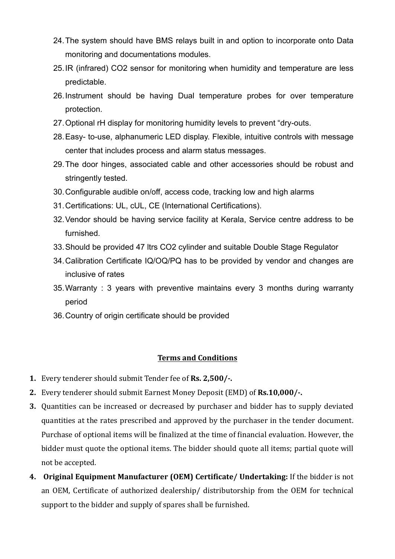- 24.The system should have BMS relays built in and option to incorporate onto Data monitoring and documentations modules.
- 25.IR (infrared) CO2 sensor for monitoring when humidity and temperature are less predictable.
- 26.Instrument should be having Dual temperature probes for over temperature protection.
- 27.Optional rH display for monitoring humidity levels to prevent "dry-outs.
- 28.Easy- to-use, alphanumeric LED display. Flexible, intuitive controls with message center that includes process and alarm status messages.
- 29.The door hinges, associated cable and other accessories should be robust and stringently tested.
- 30.Configurable audible on/off, access code, tracking low and high alarms
- 31.Certifications: UL, cUL, CE (International Certifications).
- 32.Vendor should be having service facility at Kerala, Service centre address to be furnished.
- 33.Should be provided 47 ltrs CO2 cylinder and suitable Double Stage Regulator
- 34.Calibration Certificate IQ/OQ/PQ has to be provided by vendor and changes are inclusive of rates
- 35.Warranty : 3 years with preventive maintains every 3 months during warranty period
- 36.Country of origin certificate should be provided

### **Terms and Conditions**

- **1.** Every tenderer should submit Tender fee of **Rs. 2,500/-.**
- **2.** Every tenderer should submit Earnest Money Deposit (EMD) of **Rs.10,000/-.**
- **3.** Quantities can be increased or decreased by purchaser and bidder has to supply deviated quantities at the rates prescribed and approved by the purchaser in the tender document. Purchase of optional items will be finalized at the time of financial evaluation. However, the bidder must quote the optional items. The bidder should quote all items; partial quote will not be accepted.
- **4. Original Equipment Manufacturer (OEM) Certificate/ Undertaking:** If the bidder is not an OEM, Certificate of authorized dealership/ distributorship from the OEM for technical support to the bidder and supply of spares shall be furnished.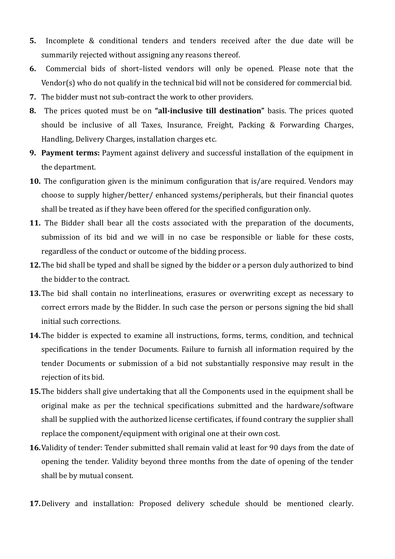- **5.** Incomplete & conditional tenders and tenders received after the due date will be summarily rejected without assigning any reasons thereof.
- **6.** Commercial bids of short–listed vendors will only be opened. Please note that the Vendor(s) who do not qualify in the technical bid will not be considered for commercial bid.
- **7.** The bidder must not sub-contract the work to other providers.
- **8.** The prices quoted must be on **"all-inclusive till destination"** basis. The prices quoted should be inclusive of all Taxes, Insurance, Freight, Packing & Forwarding Charges, Handling, Delivery Charges, installation charges etc.
- **9. Payment terms:** Payment against delivery and successful installation of the equipment in the department.
- **10.** The configuration given is the minimum configuration that is/are required. Vendors may choose to supply higher/better/ enhanced systems/peripherals, but their financial quotes shall be treated as if they have been offered for the specified configuration only.
- **11.** The Bidder shall bear all the costs associated with the preparation of the documents, submission of its bid and we will in no case be responsible or liable for these costs, regardless of the conduct or outcome of the bidding process.
- **12.**The bid shall be typed and shall be signed by the bidder or a person duly authorized to bind the bidder to the contract.
- **13.**The bid shall contain no interlineations, erasures or overwriting except as necessary to correct errors made by the Bidder. In such case the person or persons signing the bid shall initial such corrections.
- **14.**The bidder is expected to examine all instructions, forms, terms, condition, and technical specifications in the tender Documents. Failure to furnish all information required by the tender Documents or submission of a bid not substantially responsive may result in the rejection of its bid.
- **15.**The bidders shall give undertaking that all the Components used in the equipment shall be original make as per the technical specifications submitted and the hardware/software shall be supplied with the authorized license certificates, if found contrary the supplier shall replace the component/equipment with original one at their own cost.
- **16.**Validity of tender: Tender submitted shall remain valid at least for 90 days from the date of opening the tender. Validity beyond three months from the date of opening of the tender shall be by mutual consent.
- **17.**Delivery and installation: Proposed delivery schedule should be mentioned clearly.